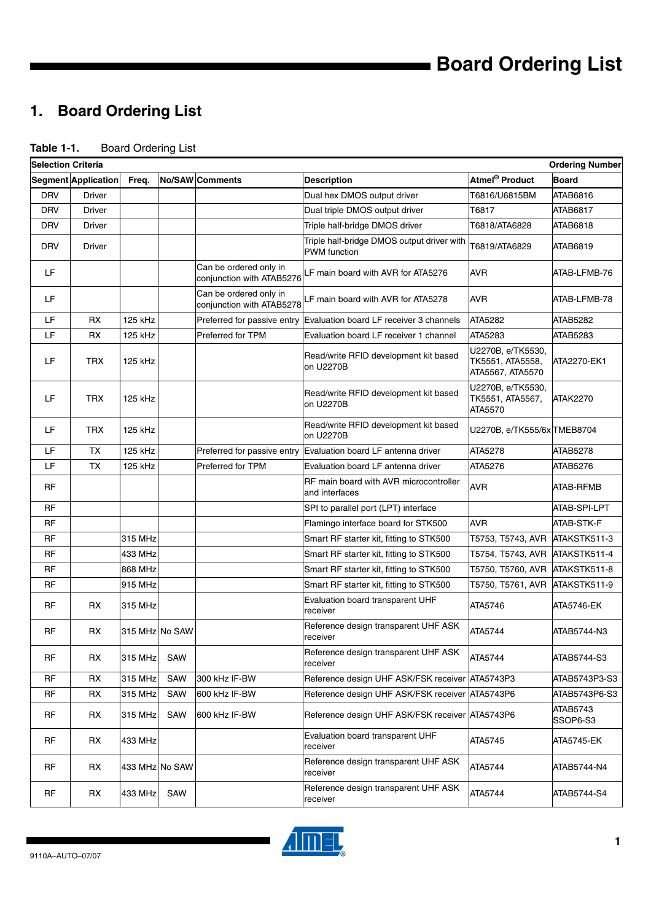# **1. Board Ordering List**

| <b>Table 1-1.</b><br><b>Board Ordering List</b> |
|-------------------------------------------------|
|-------------------------------------------------|

| <b>Selection Criteria</b> |                            |                |     |                                                     |                                                                   |                                                           | <b>Ordering Number</b> |
|---------------------------|----------------------------|----------------|-----|-----------------------------------------------------|-------------------------------------------------------------------|-----------------------------------------------------------|------------------------|
|                           | <b>Segment Application</b> | Freq.          |     | <b>No/SAW</b> Comments                              | <b>Description</b>                                                | Atmel <sup>®</sup> Product                                | <b>Board</b>           |
| <b>DRV</b>                | <b>Driver</b>              |                |     |                                                     | Dual hex DMOS output driver                                       | T6816/U6815BM                                             | ATAB6816               |
| <b>DRV</b>                | <b>Driver</b>              |                |     |                                                     | Dual triple DMOS output driver                                    | T6817                                                     | ATAB6817               |
| <b>DRV</b>                | <b>Driver</b>              |                |     |                                                     | Triple half-bridge DMOS driver                                    | T6818/ATA6828                                             | ATAB6818               |
| <b>DRV</b>                | Driver                     |                |     |                                                     | Triple half-bridge DMOS output driver with<br><b>PWM</b> function | T6819/ATA6829                                             | ATAB6819               |
| LF                        |                            |                |     | Can be ordered only in<br>conjunction with ATAB5276 | LF main board with AVR for ATA5276                                | <b>AVR</b>                                                | ATAB-LFMB-76           |
| LF                        |                            |                |     | Can be ordered only in<br>conjunction with ATAB5278 | LF main board with AVR for ATA5278                                | <b>AVR</b>                                                | ATAB-LFMB-78           |
| LF                        | <b>RX</b>                  | 125 kHz        |     | Preferred for passive entry                         | Evaluation board LF receiver 3 channels                           | ATA5282                                                   | <b>ATAB5282</b>        |
| LF                        | RX                         | 125 kHz        |     | Preferred for TPM                                   | Evaluation board LF receiver 1 channel                            | ATA5283                                                   | ATAB5283               |
| LF                        | <b>TRX</b>                 | 125 kHz        |     |                                                     | Read/write RFID development kit based<br>on U2270B                | U2270B, e/TK5530,<br>TK5551, ATA5558,<br>ATA5567, ATA5570 | ATA2270-EK1            |
| LF                        | <b>TRX</b>                 | 125 kHz        |     |                                                     | Read/write RFID development kit based<br>on U2270B                | U2270B, e/TK5530,<br>TK5551, ATA5567,<br><b>ATA5570</b>   | <b>ATAK2270</b>        |
| LF                        | <b>TRX</b>                 | 125 kHz        |     |                                                     | Read/write RFID development kit based<br>on U2270B                | U2270B, e/TK555/6x TMEB8704                               |                        |
| LF                        | <b>TX</b>                  | 125 kHz        |     |                                                     | Preferred for passive entry Evaluation board LF antenna driver    | ATA5278                                                   | <b>ATAB5278</b>        |
| LF                        | <b>TX</b>                  | 125 kHz        |     | Preferred for TPM                                   | Evaluation board LF antenna driver                                | ATA5276                                                   | ATAB5276               |
| RF                        |                            |                |     |                                                     | RF main board with AVR microcontroller<br>and interfaces          | AVR                                                       | ATAB-RFMB              |
| <b>RF</b>                 |                            |                |     |                                                     | SPI to parallel port (LPT) interface                              |                                                           | ATAB-SPI-LPT           |
| <b>RF</b>                 |                            |                |     |                                                     | Flamingo interface board for STK500                               | <b>AVR</b>                                                | ATAB-STK-F             |
| <b>RF</b>                 |                            | 315 MHz        |     |                                                     | Smart RF starter kit, fitting to STK500                           | T5753, T5743, AVR                                         | ATAKSTK511-3           |
| <b>RF</b>                 |                            | 433 MHz        |     |                                                     | Smart RF starter kit, fitting to STK500                           | T5754, T5743, AVR                                         | ATAKSTK511-4           |
| <b>RF</b>                 |                            | 868 MHz        |     |                                                     | Smart RF starter kit, fitting to STK500                           | T5750, T5760, AVR                                         | ATAKSTK511-8           |
| <b>RF</b>                 |                            | 915 MHz        |     |                                                     | Smart RF starter kit, fitting to STK500                           | T5750, T5761, AVR                                         | ATAKSTK511-9           |
| <b>RF</b>                 | RX                         | 315 MHz        |     |                                                     | Evaluation board transparent UHF<br>receiver                      | ATA5746                                                   | ATA5746-EK             |
| <b>RF</b>                 | RX                         | 315 MHz No SAW |     |                                                     | Reference design transparent UHF ASK<br>receiver                  | ATA5744                                                   | ATAB5744-N3            |
| <b>RF</b>                 | RX                         | 315 MHz        | SAW |                                                     | Reference design transparent UHF ASK<br>receiver                  | ATA5744                                                   | ATAB5744-S3            |
| RF                        | RX                         | 315 MHz        | SAW | 300 kHz IF-BW                                       | Reference design UHF ASK/FSK receiver ATA5743P3                   |                                                           | ATAB5743P3-S3          |
| <b>RF</b>                 | RX                         | 315 MHz        | SAW | 600 kHz IF-BW                                       | Reference design UHF ASK/FSK receiver ATA5743P6                   |                                                           | ATAB5743P6-S3          |
| <b>RF</b>                 | RX                         | 315 MHz        | SAW | 600 kHz IF-BW                                       | Reference design UHF ASK/FSK receiver ATA5743P6                   |                                                           | ATAB5743<br>SSOP6-S3   |
| <b>RF</b>                 | RX                         | 433 MHz        |     |                                                     | Evaluation board transparent UHF<br>receiver                      | ATA5745                                                   | <b>ATA5745-EK</b>      |
| <b>RF</b>                 | RX                         | 433 MHz No SAW |     |                                                     | Reference design transparent UHF ASK<br>receiver                  | ATA5744                                                   | ATAB5744-N4            |
| <b>RF</b>                 | RX                         | 433 MHz        | SAW |                                                     | Reference design transparent UHF ASK<br>receiver                  | ATA5744                                                   | ATAB5744-S4            |

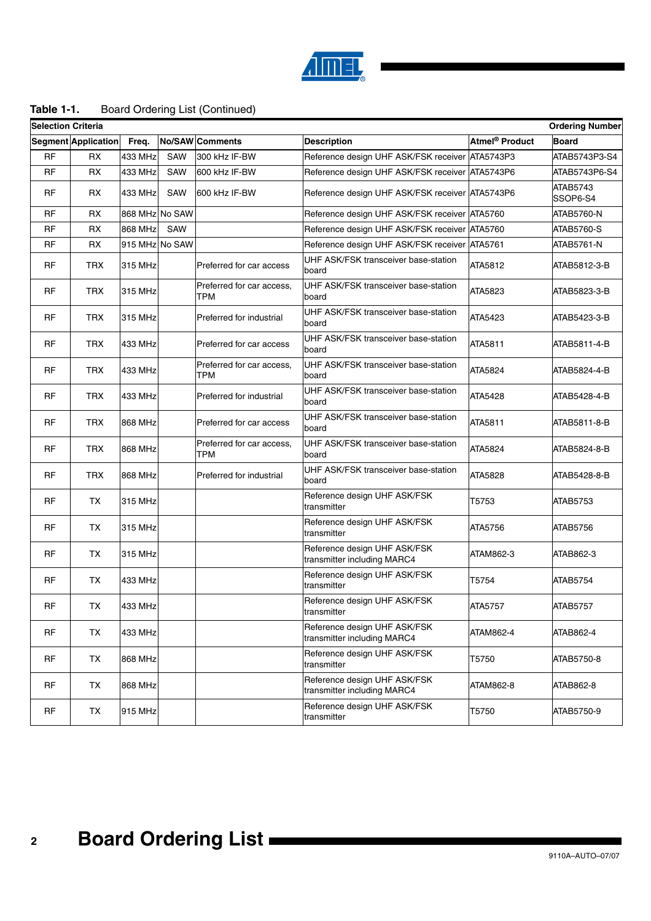

## **Table 1-1.** Board Ordering List (Continued)

| <b>Selection Criteria</b> |                     |                |            |                                  |                                                             |                            | <b>Ordering Number</b> |
|---------------------------|---------------------|----------------|------------|----------------------------------|-------------------------------------------------------------|----------------------------|------------------------|
|                           | Segment Application | Freq.          |            | <b>No/SAW Comments</b>           | <b>Description</b>                                          | Atmel <sup>®</sup> Product | <b>Board</b>           |
| <b>RF</b>                 | <b>RX</b>           | 433 MHz        | <b>SAW</b> | 300 kHz IF-BW                    | Reference design UHF ASK/FSK receiver ATA5743P3             |                            | ATAB5743P3-S4          |
| <b>RF</b>                 | RX                  | 433 MHz        | SAW        | 600 kHz IF-BW                    | Reference design UHF ASK/FSK receiver ATA5743P6             |                            | ATAB5743P6-S4          |
| RF                        | RX                  | 433 MHz        | SAW        | 600 kHz IF-BW                    | Reference design UHF ASK/FSK receiver ATA5743P6             |                            | ATAB5743<br>SSOP6-S4   |
| <b>RF</b>                 | <b>RX</b>           | 868 MHz No SAW |            |                                  | Reference design UHF ASK/FSK receiver ATA5760               |                            | ATAB5760-N             |
| <b>RF</b>                 | RX                  | 868 MHz        | SAW        |                                  | Reference design UHF ASK/FSK receiver ATA5760               |                            | ATAB5760-S             |
| RF                        | RX                  | 915 MHz No SAW |            |                                  | Reference design UHF ASK/FSK receiver ATA5761               |                            | ATAB5761-N             |
| RF                        | <b>TRX</b>          | 315 MHz        |            | Preferred for car access         | UHF ASK/FSK transceiver base-station<br>board               | ATA5812                    | ATAB5812-3-B           |
| RF                        | <b>TRX</b>          | 315 MHz        |            | Preferred for car access,<br>TPM | UHF ASK/FSK transceiver base-station<br>board               | ATA5823                    | ATAB5823-3-B           |
| RF                        | <b>TRX</b>          | 315 MHz        |            | Preferred for industrial         | UHF ASK/FSK transceiver base-station<br>board               | ATA5423                    | ATAB5423-3-B           |
| RF                        | <b>TRX</b>          | 433 MHz        |            | Preferred for car access         | UHF ASK/FSK transceiver base-station<br>board               | ATA5811                    | ATAB5811-4-B           |
| RF                        | <b>TRX</b>          | 433 MHz        |            | Preferred for car access,<br>TPM | UHF ASK/FSK transceiver base-station<br>board               | ATA5824                    | ATAB5824-4-B           |
| RF                        | <b>TRX</b>          | 433 MHz        |            | Preferred for industrial         | UHF ASK/FSK transceiver base-station<br>board               | ATA5428                    | ATAB5428-4-B           |
| RF                        | <b>TRX</b>          | 868 MHz        |            | Preferred for car access         | UHF ASK/FSK transceiver base-station<br>board               | ATA5811                    | ATAB5811-8-B           |
| RF                        | <b>TRX</b>          | 868 MHz        |            | Preferred for car access,<br>TPM | UHF ASK/FSK transceiver base-station<br>board               | ATA5824                    | ATAB5824-8-B           |
| RF                        | <b>TRX</b>          | 868 MHz        |            | Preferred for industrial         | UHF ASK/FSK transceiver base-station<br>board               | ATA5828                    | ATAB5428-8-B           |
| RF                        | ТX                  | 315 MHz        |            |                                  | Reference design UHF ASK/FSK<br>transmitter                 | T5753                      | ATAB5753               |
| RF                        | TX                  | 315 MHz        |            |                                  | Reference design UHF ASK/FSK<br>transmitter                 | ATA5756                    | ATAB5756               |
| RF                        | TX                  | 315 MHz        |            |                                  | Reference design UHF ASK/FSK<br>transmitter including MARC4 | ATAM862-3                  | ATAB862-3              |
| RF                        | TX                  | 433 MHz        |            |                                  | Reference design UHF ASK/FSK<br>transmitter                 | T5754                      | ATAB5754               |
| RF                        | ТX                  | 433 MHz        |            |                                  | Reference design UHF ASK/FSK<br>transmitter                 | ATA5757                    | <b>ATAB5757</b>        |
| <b>RF</b>                 | <b>TX</b>           | 433 MHz        |            |                                  | Reference design UHF ASK/FSK<br>transmitter including MARC4 | ATAM862-4                  | ATAB862-4              |
| RF                        | <b>TX</b>           | 868 MHz        |            |                                  | Reference design UHF ASK/FSK<br>transmitter                 | T5750                      | ATAB5750-8             |
| RF                        | <b>TX</b>           | 868 MHz        |            |                                  | Reference design UHF ASK/FSK<br>transmitter including MARC4 | ATAM862-8                  | ATAB862-8              |
| RF                        | <b>TX</b>           | 915 MHz        |            |                                  | Reference design UHF ASK/FSK<br>transmitter                 | T5750                      | ATAB5750-9             |